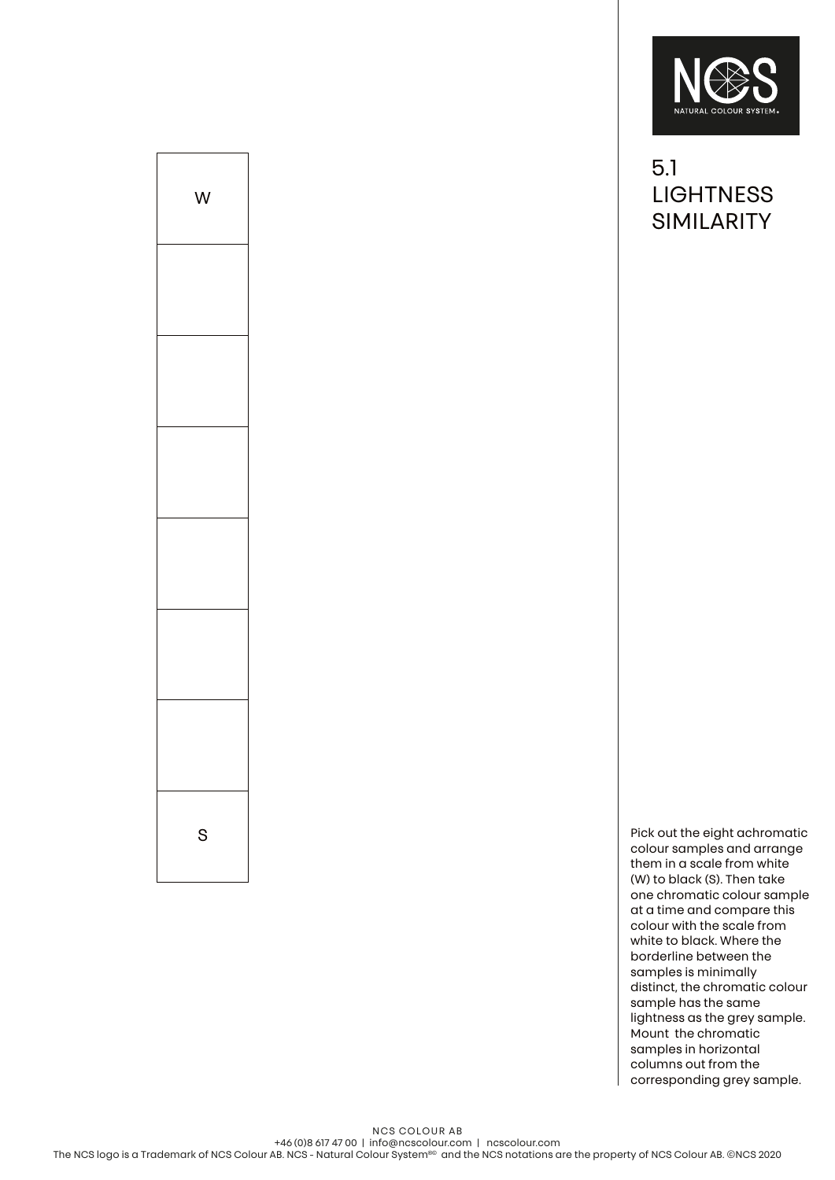

5.1 **LIGHTNESS** SIMILARITY

S Pick out the eight achromatic state of  $\sim$  Pick out the eight achromatic colour samples and arrange them in a scale from white (W) to black (S). Then take one chromatic colour sample at a time and compare this colour with the scale from white to black. Where the borderline between the samples is minimally distinct, the chromatic colour sample has the same lightness as the grey sample. Mount the chromatic samples in horizontal columns out from the corresponding grey sample.

NCS COLOUR AB +46 (0)8 617 47 00 | info@ncscolour.com | ncscolour.com The NCS logo is a Trademark of NCS Colour AB. NCS - Natural Colour System®© and the NCS notations are the property of NCS Colour AB. ©NCS 2020

W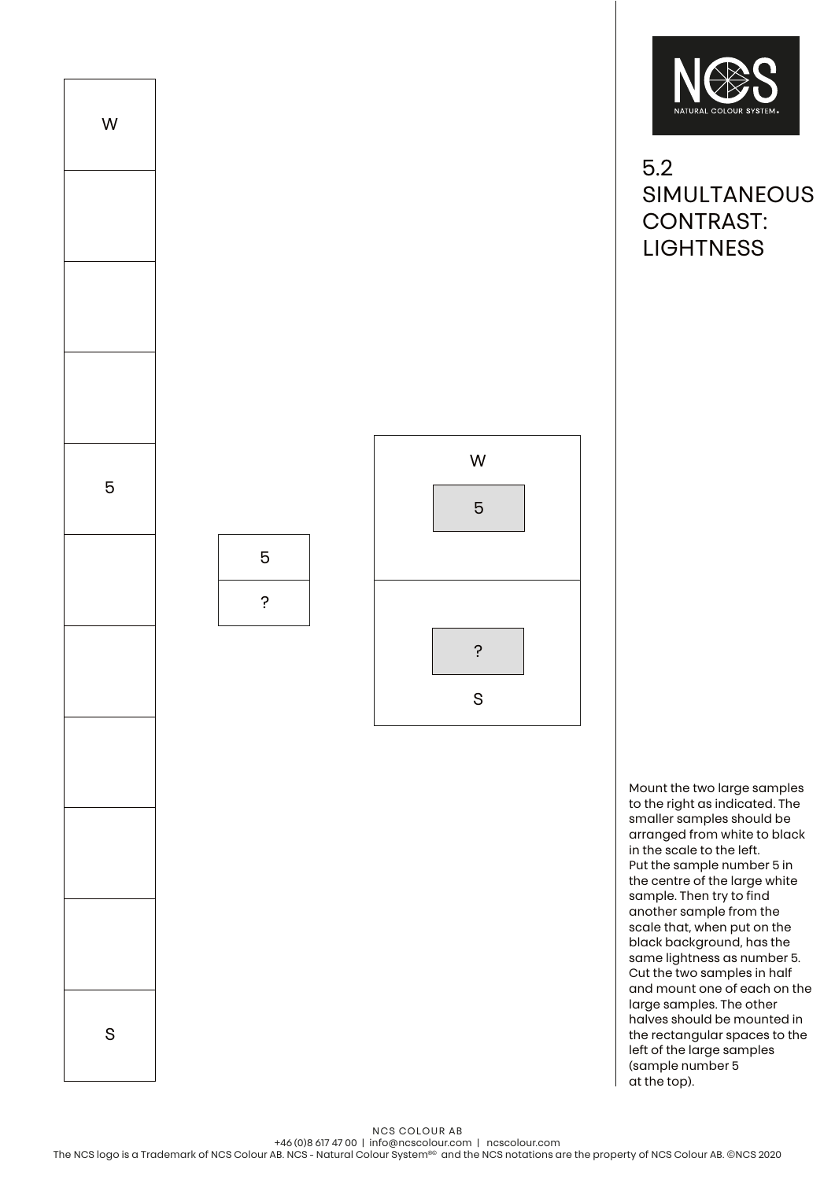

5

?



5.2 SIMULTANEOUS CONTRAST: **LIGHTNESS** 

Mount the two large samples to the right as indicated. The smaller samples should be arranged from white to black in the scale to the left. Put the sample number 5 in the centre of the large white sample. Then try to find another sample from the scale that, when put on the black background, has the same lightness as number 5. Cut the two samples in half and mount one of each on the large samples. The other halves should be mounted in the rectangular spaces to the left of the large samples (sample number 5 at the top).

NCS COLOUR AB

+46 (0)8 617 47 00 | info@ncscolour.com | ncscolour.com The NCS logo is a Trademark of NCS Colour AB. NCS - Natural Colour System®© and the NCS notations are the property of NCS Colour AB. ©NCS 2020